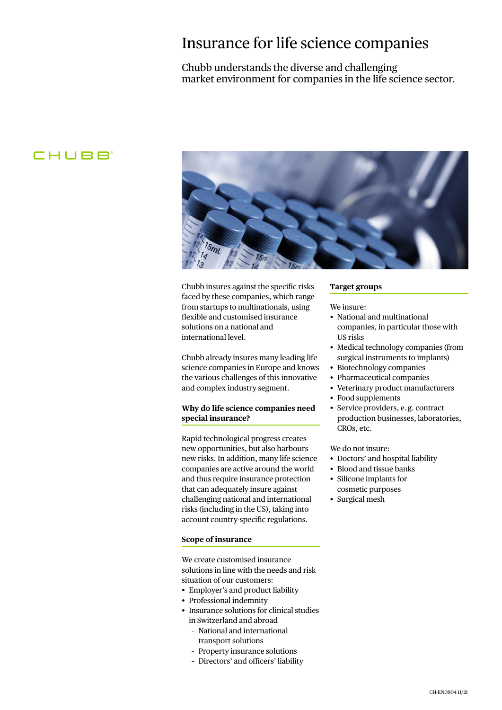## Insurance for life science companies

#### Chubb understands the diverse and challenging market environment for companies in the life science sector.

### **CHUBB**



Chubb insures against the specific risks faced by these companies, which range from startups to multinationals, using flexible and customised insurance solutions on a national and international level.

Chubb already insures many leading life science companies in Europe and knows the various challenges of this innovative and complex industry segment.

#### **Why do life science companies need special insurance?**

Rapid technological progress creates new opportunities, but also harbours new risks. In addition, many life science companies are active around the world and thus require insurance protection that can adequately insure against challenging national and international risks (including in the US), taking into account country-specific regulations.

#### **Scope of insurance**

We create customised insurance solutions in line with the needs and risk situation of our customers:

- Employer's and product liability
- Professional indemnity
- Insurance solutions for clinical studies in Switzerland and abroad
	- National and international transport solutions
	- Property insurance solutions
	- Directors' and officers' liability

#### **Target groups**

#### We insure:

- National and multinational companies, in particular those with US risks
- Medical technology companies (from surgical instruments to implants)
- Biotechnology companies
- Pharmaceutical companies
- Veterinary product manufacturers
- Food supplements
- Service providers, e.g. contract production businesses, laboratories, CROs, etc.

We do not insure:

- Doctors' and hospital liability
- Blood and tissue banks
- • Silicone implants for cosmetic purposes
- Surgical mesh